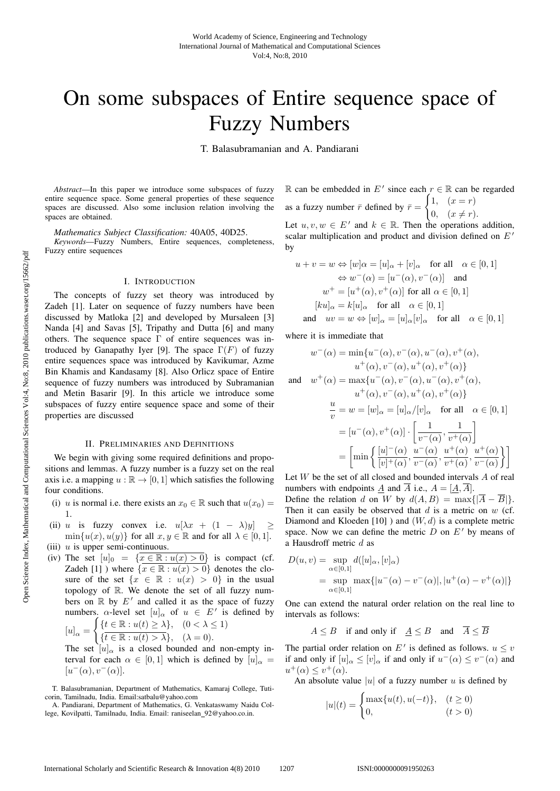# On some subspaces of Entire sequence space of Fuzzy Numbers

T. Balasubramanian and A. Pandiarani

*Abstract*—In this paper we introduce some subspaces of fuzzy entire sequence space. Some general properties of these sequence spaces are discussed. Also some inclusion relation involving the spaces are obtained.

*Mathematics Subject Classification:* 40A05, 40D25. *Keywords*—Fuzzy Numbers, Entire sequences, completeness, Fuzzy entire sequences

## I. INTRODUCTION

The concepts of fuzzy set theory was introduced by Zadeh [1]. Later on sequence of fuzzy numbers have been discussed by Matloka [2] and developed by Mursaleen [3] Nanda [4] and Savas [5], Tripathy and Dutta [6] and many others. The sequence space  $\Gamma$  of entire sequences was introduced by Ganapathy Iyer [9]. The space  $\Gamma(F)$  of fuzzy entire sequences space was introduced by Kavikumar, Azme Bin Khamis and Kandasamy [8]. Also Orlicz space of Entire sequence of fuzzy numbers was introduced by Subramanian and Metin Basarir [9]. In this article we introduce some subspaces of fuzzy entire sequence space and some of their properties are discussed

#### II. PRELIMINARIES AND DEFINITIONS

We begin with giving some required definitions and propositions and lemmas. A fuzzy number is a fuzzy set on the real axis i.e. a mapping  $u : \mathbb{R} \to [0, 1]$  which satisfies the following four conditions.

- (i) u is normal i.e. there exists an  $x_0 \in \mathbb{R}$  such that  $u(x_0) =$ 1.
- (ii) u is fuzzy convex i.e.  $u[\lambda x + (1 \lambda)y]$  $\min\{u(x), u(y)\}\$ for all  $x, y \in \mathbb{R}$  and for all  $\lambda \in [0, 1].$ (iii)  $u$  is upper semi-continuous.
- (iv) The set  $[u]_0 = {\overline{x \in \mathbb{R} : u(x) > 0}}$  is compact (cf. Zadeh [1]) where  $\{\overline{x \in \mathbb{R} : u(x) > 0}\}$  denotes the closure of the set  $\{x \in \mathbb{R} : u(x) > 0\}$  in the usual topology of  $\mathbb R$ . We denote the set of all fuzzy numbers on  $\mathbb R$  by  $E'$  and called it as the space of fuzzy numbers.  $\alpha$ -level set  $[u]_{\alpha}$  of  $u \in E'$  is defined by  $\left\{ \{t \in \mathbb{R} : u(t) \geq \lambda \}, \quad (0 < \lambda \leq 1) \right\}$

$$
[u]_{\alpha} = \begin{cases} \{t \in \mathbb{R} : u(t) \ge \lambda\}, & (0 < \lambda \le \lambda) \\ \{\overline{t} \in \mathbb{R} : u(t) > \lambda\}, & (\lambda = 0). \end{cases}
$$

The set  $[u]_{\alpha}$  is a closed bounded and non-empty interval for each  $\alpha \in [0,1]$  which is defined by  $[u]_{\alpha} =$  $[u^-(\alpha), v^-(\alpha)].$ 

 $ℝ$  can be embedded in  $E'$  since each  $r ∈ ℝ$  can be regarded as a fuzzy number  $\bar{r}$  defined by  $\bar{r} = \begin{cases} 1, & (x = r) \\ 0, & (x = r) \end{cases}$ 0,  $(x \neq r)$ . Let  $u, v, w \in E'$  and  $k \in \mathbb{R}$ . Then the operations addition, scalar multiplication and product and division defined on  $E'$ by

$$
u + v = w \Leftrightarrow [w] \alpha = [u]_{\alpha} + [v]_{\alpha} \quad \text{for all} \quad \alpha \in [0, 1]
$$

$$
\Leftrightarrow w^{-}(\alpha) = [u^{-}(\alpha), v^{-}(\alpha)] \quad \text{and}
$$

$$
w^{+} = [u^{+}(\alpha), v^{+}(\alpha)] \text{ for all } \alpha \in [0, 1]
$$

$$
[ku]_{\alpha} = k[u]_{\alpha} \quad \text{for all} \quad \alpha \in [0, 1]
$$

$$
\text{and} \quad uv = w \Leftrightarrow [w]_{\alpha} = [u]_{\alpha}[v]_{\alpha} \quad \text{for all} \quad \alpha \in [0, 1]
$$

where it is immediate that

$$
w^{-}(\alpha) = \min\{u^{-}(\alpha), v^{-}(\alpha), u^{-}(\alpha), v^{+}(\alpha),
$$
  

$$
u^{+}(\alpha), v^{-}(\alpha), u^{+}(\alpha), v^{+}(\alpha)\}
$$
  
and 
$$
w^{+}(\alpha) = \max\{u^{-}(\alpha), v^{-}(\alpha), u^{-}(\alpha), v^{+}(\alpha),
$$

$$
u^{+}(\alpha), v^{-}(\alpha), u^{+}(\alpha), v^{+}(\alpha)\}
$$

$$
\frac{u}{v} = w = [w]_{\alpha} = [u]_{\alpha}/[v]_{\alpha} \quad \text{for all} \quad \alpha \in [0, 1]
$$

$$
= [u^{-}(\alpha), v^{+}(\alpha)] \cdot \left[\frac{1}{v^{-}(\alpha)}, \frac{1}{v^{+}(\alpha)}\right]
$$

$$
= \left[\min\left\{\frac{[u]^{-}(\alpha)}{[v]^{+}(\alpha)}, \frac{u^{-}(\alpha)}{v^{-}(\alpha)}, \frac{u^{+}(\alpha)}{v^{-}(\alpha)}, \frac{u^{+}(\alpha)}{v^{-}(\alpha)}\right\}\right]
$$

Let  $W$  be the set of all closed and bounded intervals  $A$  of real numbers with endpoints  $\underline{A}$  and  $\overline{A}$  i.e.,  $A = [\underline{A}, \overline{A}]$ .

Define the relation d on W by  $d(A, B) = \max\{|\overline{A} - \overline{B}|\}.$ Then it can easily be observed that  $d$  is a metric on  $w$  (cf. Diamond and Kloeden  $[10]$ ) and  $(W, d)$  is a complete metric space. Now we can define the metric  $\overline{D}$  on  $E'$  by means of a Hausdroff metric  $d$  as

$$
D(u, v) = \sup_{\alpha \in [0, 1]} d([u]_{\alpha}, [v]_{\alpha})
$$
  
= 
$$
\sup_{\alpha \in [0, 1]} \max\{|u^{-}(\alpha) - v^{-}(\alpha)|, |u^{+}(\alpha) - v^{+}(\alpha)|\}
$$

One can extend the natural order relation on the real line to intervals as follows:

$$
A \leq B \quad \text{if and only if} \quad \underline{A} \leq B \quad \text{and} \quad \overline{A} \leq \overline{B}
$$

The partial order relation on E' is defined as follows.  $u \le v$ if and only if  $[u]_{\alpha} \leq [v]_{\alpha}$  if and only if  $u^{-}(\alpha) \leq v^{-}(\alpha)$  and  $u^+(\alpha) \leq v^+(\alpha)$ .

An absolute value  $|u|$  of a fuzzy number u is defined by

$$
|u|(t) = \begin{cases} \max\{u(t), u(-t)\}, & (t \ge 0) \\ 0, & (t > 0) \end{cases}
$$

Open Science Index, Mathematical and Computational Sciences Vol.4, No.8, 2010 publications.waset.org/15662/pdf Open Science Index, Mathematical and Computational Sciences Vol:4, No:8, 2010 publications.waset.org/15662/pdf

T. Balasubramanian, Department of Mathematics, Kamaraj College, Tuticorin, Tamilnadu, India. Email:satbalu@yahoo.com

A. Pandiarani, Department of Mathematics, G. Venkataswamy Naidu College, Kovilpatti, Tamilnadu, India. Email: raniseelan 92@yahoo.co.in.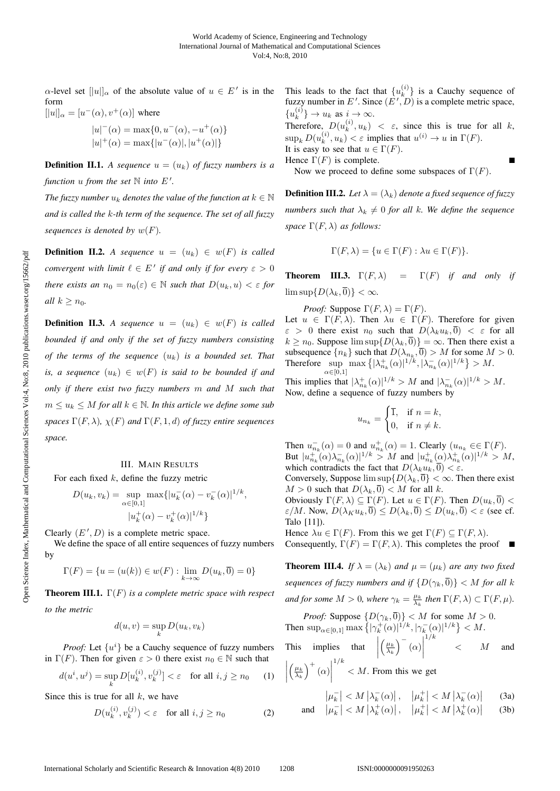$\alpha$ -level set  $[|u|]_{\alpha}$  of the absolute value of  $u \in E'$  is in the form  $[|u|]_{\alpha} = [u^-(\alpha), v^+(\alpha)]$  where

$$
|a - [a \ (a), b \ (a)] \text{ where}
$$
  

$$
|u|^{-}(\alpha) = \max\{0, u^{-}(\alpha), -u^{+}(\alpha)\}\
$$
  

$$
|u|^{+}(\alpha) = \max\{|u^{-}(\alpha)|, |u^{+}(\alpha)|\}
$$

**Definition II.1.** A sequence  $u = (u_k)$  of fuzzy numbers is a *function*  $u$  *from the set*  $\mathbb N$  *into*  $E'$ .

*The fuzzy number*  $u_k$  *denotes the value of the function at*  $k \in \mathbb{N}$ *and is called the* k*-th term of the sequence. The set of all fuzzy sequences is denoted by*  $w(F)$ *.* 

**Definition II.2.** *A sequence*  $u = (u_k) \in w(F)$  *is called convergent with limit*  $l \in E'$  *if and only if for every*  $\varepsilon > 0$ *there exists an*  $n_0 = n_0(\varepsilon) \in \mathbb{N}$  *such that*  $D(u_k, u) < \varepsilon$  *for all*  $k \geq n_0$ *.* 

**Definition II.3.** *A sequence*  $u = (u_k) \in w(F)$  *is called bounded if and only if the set of fuzzy numbers consisting of the terms of the sequence*  $(u_k)$  *is a bounded set. That is, a sequence*  $(u_k) \in w(F)$  *is said to be bounded if and only if there exist two fuzzy numbers* m *and* M *such that*  $m \leq u_k \leq M$  for all  $k \in \mathbb{N}$ . In this article we define some sub *spaces*  $\Gamma(F, \lambda)$ *,*  $\chi(F)$  *and*  $\Gamma(F, 1, d)$  *of fuzzy entire sequences space.*

## III. MAIN RESULTS

For each fixed  $k$ , define the fuzzy metric

$$
D(u_k, v_k) = \sup_{\alpha \in [0,1]} \max\{|u_k^-(\alpha) - v_k^-(\alpha)|^{1/k},
$$

$$
|u_k^+(\alpha) - v_k^+(\alpha)|^{1/k}\}
$$

Clearly  $(E', D)$  is a complete metric space.

We define the space of all entire sequences of fuzzy numbers by

$$
\Gamma(F) = \{u = (u(k)) \in w(F) : \lim_{k \to \infty} D(u_k, \overline{0}) = 0\}
$$

Theorem III.1. Γ(F) *is a complete metric space with respect to the metric*

$$
d(u, v) = \sup_{k} D(u_k, v_k)
$$

*Proof:* Let  $\{u^i\}$  be a Cauchy sequence of fuzzy numbers in  $\Gamma(F)$ . Then for given  $\varepsilon > 0$  there exist  $n_0 \in \mathbb{N}$  such that

$$
d(u^i, u^j) = \sup_k D[u_k^{(i)}, v_k^{(j)}] < \varepsilon \quad \text{for all } i, j \ge n_0 \qquad (1)
$$

Since this is true for all  $k$ , we have

$$
D(u_k^{(i)}, v_k^{(j)}) < \varepsilon \quad \text{for all } i, j \ge n_0 \tag{2}
$$

This leads to the fact that  $\{u_k^{(i)}\}$  is a Cauchy sequence of fuzzy number in E'. Since  $(E', D)$  is a complete metric space,  ${u_k^{(i)}\} \to u_k$  as  $i \to \infty$ . Therefore,  $D(u_k^{(i)}, u_k) < \varepsilon$ , since this is true for all k,  $\sup_k D(u_k^{(i)}, u_k) < \varepsilon$  implies that  $u^{(i)} \to u$  in  $\Gamma(F)$ . It is easy to see that  $u \in \Gamma(F)$ . Hence  $\Gamma(F)$  is complete. Now we proceed to define some subspaces of  $\Gamma(F)$ .

**Definition III.2.** *Let*  $\lambda = (\lambda_k)$  *denote a fixed sequence of fuzzy numbers such that*  $\lambda_k \neq 0$  *for all k. We define the sequence space*  $\Gamma(F, \lambda)$  *as follows:* 

$$
\Gamma(F,\lambda) = \{ u \in \Gamma(F) : \lambda u \in \Gamma(F) \}.
$$

**Theorem III.3.**  $\Gamma(F, \lambda) = \Gamma(F)$  *if and only if*  $\limsup\{D(\lambda_k, \overline{0})\} < \infty$ .

*Proof:* Suppose 
$$
\Gamma(F, \lambda) = \Gamma(F)
$$
.

Let  $u \in \Gamma(F, \lambda)$ . Then  $\lambda u \in \Gamma(F)$ . Therefore for given  $\varepsilon > 0$  there exist  $n_0$  such that  $D(\lambda_k u_k, \overline{0}) < \varepsilon$  for all  $k \geq n_0$ . Suppose  $\limsup \{D(\lambda_k, \overline{0})\} = \infty$ . Then there exist a subsequence  ${n_k}$  such that  $D(\lambda_{n_k}, 0) > M$  for some  $M > 0$ . Therefore  $\sup \max \left\{ |\lambda_{n_k}^+(\alpha)|^{1/k}, |\lambda_{n_k}^-(\alpha)|^{1/k} \right\} > M.$  $\alpha \in [0,1]$ 

This implies that  $|\lambda_{n_k}^+(\alpha)|^{1/k} > M$  and  $|\lambda_{n_k}^-(\alpha)|^{1/k} > M$ . Now, define a sequence of fuzzy numbers by

$$
u_{n_k} = \begin{cases} \overline{1}, & \text{if } n = k, \\ 0, & \text{if } n \neq k. \end{cases}
$$

Then  $u_{n_k}^-(\alpha) = 0$  and  $u_{n_k}^+(\alpha) = 1$ . Clearly  $(u_{n_k} \in \Gamma(F))$ . But  $|u_{n_k}^{+}(\alpha)\lambda_{n_k}^{-}(\alpha)|^{1/k} > M$  and  $|u_{n_k}^{+}(\alpha)\lambda_{n_k}^{+}(\alpha)|^{1/k} > M$ , which contradicts the fact that  $D(\lambda_k u_k, \overline{0}) < \varepsilon$ .

Conversely, Suppose  $\limsup\{D(\lambda_k, \overline{0}\} < \infty$ . Then there exist  $M > 0$  such that  $D(\lambda_k, \overline{0}) < M$  for all k.

Obviously  $\Gamma(F, \lambda) \subseteq \Gamma(F)$ . Let  $u \in \Gamma(F)$ . Then  $D(u_k, \overline{0})$  <  $\varepsilon/M$ . Now,  $D(\lambda_K u_k, \overline{0}) \leq D(\lambda_k, \overline{0}) \leq D(u_k, \overline{0}) < \varepsilon$  (see cf. Talo [11]).

Hence  $\lambda u \in \Gamma(F)$ . From this we get  $\Gamma(F) \subseteq \Gamma(F, \lambda)$ . Consequently,  $\Gamma(F) = \Gamma(F, \lambda)$ . This completes the proof

**Theorem III.4.** *If*  $\lambda = (\lambda_k)$  *and*  $\mu = (\mu_k)$  *are any two fixed sequences of fuzzy numbers and if*  $\{D(\gamma_k, \overline{0})\} < M$  *for all* k *and for some*  $M > 0$ *, where*  $\gamma_k = \frac{\mu_k}{\lambda_k}$  *then*  $\Gamma(F, \lambda) \subset \Gamma(F, \mu)$ *.* 

*Proof:* Suppose 
$$
\{D(\gamma_k, \overline{0})\} < M
$$
 for some  $M > 0$ .  
Then  $\sup_{\alpha \in [0,1]} \max \{|\gamma_k^+(\alpha)|^{1/k}, |\gamma_k^-(\alpha)|^{1/k}\} < M$ .  
This implies that  $\left| \left(\frac{\mu_k}{\lambda_k}\right)^-(\alpha) \right|^{1/k} < M$  and

$$
\left| \left( \frac{\mu_k}{\lambda_k} \right)^+ (\alpha) \right|^{1/k} < M
$$
. From this we get

$$
\left|\mu_k^-\right| < M\left|\lambda_k^-(\alpha)\right|, \quad \left|\mu_k^+\right| < M\left|\lambda_k^-(\alpha)\right| \tag{3a}
$$

and 
$$
\left|\mu_k^- \right| < M\left|\lambda_k^+(\alpha)\right|, \quad \left|\mu_k^+ \right| < M\left|\lambda_k^+(\alpha)\right| \tag{3b}
$$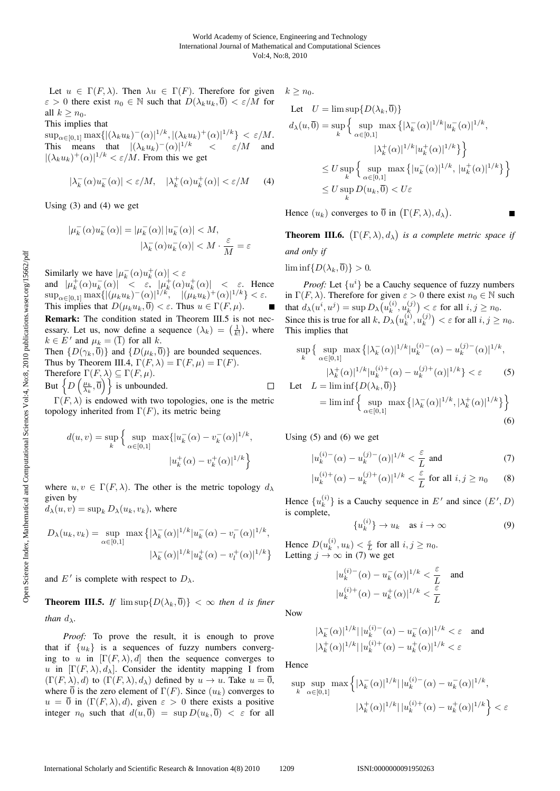Let  $u \in \Gamma(F, \lambda)$ . Then  $\lambda u \in \Gamma(F)$ . Therefore for given  $\varepsilon > 0$  there exist  $n_0 \in \mathbb{N}$  such that  $D(\lambda_k u_k, \overline{0}) < \varepsilon/M$  for all  $k > n_0$ .

This implies that

 $\sup_{\alpha \in [0,1]} \max\{ |(\lambda_k u_k)^-(\alpha)|^{1/k}, |(\lambda_k u_k)^+(\alpha)|^{1/k} \} < \varepsilon/M.$ This means that  $|(\lambda_k u_k)^{-}(\alpha)|^{1/k}$  <  $\varepsilon/M$  and  $|(\lambda_k u_k)^+(\alpha)|^{1/k} < \varepsilon/M$ . From this we get

$$
|\lambda_k^-(\alpha)u_k^-(\alpha)| < \varepsilon/M, \quad |\lambda_k^+(\alpha)u_k^+(\alpha)| < \varepsilon/M \qquad (4)
$$

Using (3) and (4) we get

$$
\begin{aligned} |\mu^-_k(\alpha)u^-_k(\alpha)|&=|\mu^-_k(\alpha)|\,|u^-_k(\alpha)|
$$

Similarly we have  $|\mu_k^-(\alpha)u_k^+(\alpha)| < \varepsilon$ and  $|\mu_k^{\perp}(\alpha)u_k^-(\alpha)| \ll \varepsilon$ ,  $|\mu_k^{\perp}(\alpha)u_k^+(\alpha)| < \varepsilon$ . Hence  $\sup_{\alpha \in [0,1]} \max\{ |(\mu_k u_k)^-(\alpha)|^{1/k}, \quad |(\mu_k u_k)^+(\alpha)|^{1/k} \} < \varepsilon.$ This implies that  $D(\mu_k u_k, \overline{0}) < \varepsilon$ . Thus  $u \in \Gamma(F, \mu)$ . Remark: The condition stated in Theorem III.5 is not necessary. Let us, now define a sequence  $(\lambda_k) = \left(\frac{1}{k!}\right)$ , where  $k \in E'$  and  $\mu_k = (\overline{1})$  for all k. Then  $\{D(\gamma_k, \overline{0})\}$  and  $\{D(\mu_k, \overline{0})\}$  are bounded sequences. Thus by Theorem III.4,  $\Gamma(F, \lambda) = \Gamma(F, \mu) = \Gamma(F)$ . Therefore  $\Gamma(F, \lambda) \subseteq \Gamma(F, \mu)$ . But  $\left\{D\left(\frac{\mu_k}{\lambda_k}, \overline{0}\right)\right\}$  is unbounded.  $\Box$  $\Gamma(F, \lambda)$  is endowed with two topologies, one is the metric

topology inherited from  $\Gamma(F)$ , its metric being

$$
d(u, v) = \sup_{k} \left\{ \sup_{\alpha \in [0, 1]} \max\{|u_k^-(\alpha) - v_k^-(\alpha)|^{1/k}, \atop |u_k^+(\alpha) - v_k^+(\alpha)|^{1/k}} \right\}
$$

where  $u, v \in \Gamma(F, \lambda)$ . The other is the metric topology  $d_{\lambda}$ given by

 $d_{\lambda}(u, v) = \sup_{k} D_{\lambda}(u_k, v_k)$ , where

$$
D_{\lambda}(u_{k}, v_{k}) = \sup_{\alpha \in [0,1]} \max \left\{ |\lambda_{k}^{-}(\alpha)|^{1/k} |u_{k}^{-}(\alpha) - v_{l}^{-}(\alpha)|^{1/k}, \right.|\lambda_{k}^{-}(\alpha)|^{1/k} |u_{k}^{+}(\alpha) - v_{l}^{+}(\alpha)|^{1/k} \right\}
$$

and E' is complete with respect to  $D_{\lambda}$ .

**Theorem III.5.** *If*  $\limsup\{D(\lambda_k, \overline{0})\} < \infty$  *then d is finer than*  $d_{\lambda}$ *.* 

*Proof:* To prove the result, it is enough to prove that if  $\{u_k\}$  is a sequences of fuzzy numbers converging to u in  $[\Gamma(F, \lambda), d]$  then the sequence converges to u in  $[\Gamma(F, \lambda), d_{\lambda}]$ . Consider the identity mapping I from  $(\Gamma(F, \lambda), d)$  to  $(\Gamma(F, \lambda), d_\lambda)$  defined by  $u \to u$ . Take  $u = \overline{0}$ , where  $\overline{0}$  is the zero element of  $\Gamma(F)$ . Since  $(u_k)$  converges to  $u = \overline{0}$  in  $(\Gamma(F, \lambda), d)$ , given  $\varepsilon > 0$  there exists a positive integer  $n_0$  such that  $d(u, \overline{0}) = \sup D(u_k, \overline{0}) < \varepsilon$  for all

 $k > n_0$ .

Let 
$$
U = \limsup \{D(\lambda_k, \overline{0})\}
$$
  
\n $d_{\lambda}(u, \overline{0}) = \sup_{k} \left\{ \sup_{\alpha \in [0,1]} \max \left\{ |\lambda_k^{-}(\alpha)|^{1/k} |u_k^{-}(\alpha)|^{1/k}, \right\} \right\}$   
\n $|\lambda_k^{+}(\alpha)|^{1/k} |u_k^{+}(\alpha)|^{1/k} \right\}$   
\n $\leq U \sup_{k} \left\{ \sup_{\alpha \in [0,1]} \max \left\{ |u_k^{-}(\alpha)|^{1/k}, |u_k^{+}(\alpha)|^{1/k} \right\} \right\}$   
\n $\leq U \sup_{k} D(u_k, \overline{0}) < U \varepsilon$ 

Hence  $(u_k)$  converges to  $\overline{0}$  in  $(\Gamma(F, \lambda), d_\lambda)$ .

**Theorem III.6.**  $(\Gamma(F, \lambda), d_{\lambda})$  is a complete metric space if *and only if*

 $\liminf \{D(\lambda_k, \overline{0})\} > 0.$ 

*Proof:* Let  $\{u^i\}$  be a Cauchy sequence of fuzzy numbers in  $\Gamma(F, \lambda)$ . Therefore for given  $\varepsilon > 0$  there exist  $n_0 \in \mathbb{N}$  such that  $d_{\lambda}(u^{i}, u^{j}) = \sup D_{\lambda}\big(u^{(i)}_{k}, u^{(j)}_{k}\big) < \varepsilon$  for all  $i, j \geq n_0$ . Since this is true for all  $k, D_{\lambda}(u_k^{(i)}, u_k^{(j)}) < \varepsilon$  for all  $i, j \ge n_0$ . This implies that

$$
\sup_{k} \left\{ \sup_{\alpha \in [0,1]} \max \left\{ |\lambda_{k}^{-}(\alpha)|^{1/k} |u_{k}^{(i)-}(\alpha) - u_{k}^{(j)-}(\alpha)|^{1/k} \right\}, \frac{|\lambda_{k}^{+}(\alpha)|^{1/k} |u_{k}^{(i)+}(\alpha) - u_{k}^{(j)+}(\alpha)|^{1/k}}{L = \liminf \{ D(\lambda_{k}, \overline{0}) \}} \right\}
$$
\nLet 
$$
L = \liminf \left\{ \sup_{\alpha \in [0,1]} \max \left\{ |\lambda_{k}^{-}(\alpha)|^{1/k}, |\lambda_{k}^{+}(\alpha)|^{1/k} \right\} \right\}
$$

$$
-(6)
$$

Using  $(5)$  and  $(6)$  we get

$$
|u_k^{(i)-}(\alpha) - u_k^{(j)-}(\alpha)|^{1/k} < \frac{\varepsilon}{L} \text{ and} \tag{7}
$$

$$
|u_k^{(i)+}(\alpha) - u_k^{(j)+}(\alpha)|^{1/k} < \frac{\varepsilon}{L} \text{ for all } i, j \ge n_0 \qquad (8)
$$

Hence  $\{u_k^{(i)}\}$  is a Cauchy sequence in E' and since  $(E', D)$ is complete,

$$
\{u_k^{(i)}\} \to u_k \quad \text{as } i \to \infty \tag{9}
$$

Hence  $D(u_k^{(i)}, u_k) < \frac{\varepsilon}{L}$  for all  $i, j \ge n_0$ . Letting  $j \rightarrow \infty$  in (7) we get

$$
|u_k^{(i)-}(\alpha) - u_k^-(\alpha)|^{1/k} < \frac{\varepsilon}{L} \quad \text{and}
$$
\n
$$
|u_k^{(i)+}(\alpha) - u_k^+(\alpha)|^{1/k} < \frac{\varepsilon}{L}
$$

Now

$$
|\lambda_k^-(\alpha)|^{1/k} |u_k^{(i)-}(\alpha) - u_k^-(\alpha)|^{1/k} < \varepsilon \text{ and}
$$
  

$$
|\lambda_k^+(\alpha)|^{1/k} |u_k^{(i)+}(\alpha) - u_k^+(\alpha)|^{1/k} < \varepsilon
$$

Hence

$$
\sup_{k} \sup_{\alpha \in [0,1]} \max \left\{ |\lambda_k^{-}(\alpha)|^{1/k} | |u_k^{(i)-}(\alpha) - u_k^{-}(\alpha)|^{1/k}, \right. \left. |\lambda_k^{+}(\alpha)|^{1/k} | |u_k^{(i)+}(\alpha) - u_k^{+}(\alpha)|^{1/k} \right\} < \varepsilon
$$

Open Science Index, Mathematical and Computational Sciences Vol.4, No:8, 2010 publications.waset.org/15662/pdf Open Science Index, Mathematical and Computational Sciences Vol:4, No:8, 2010 publications.waset.org/15662/pdf